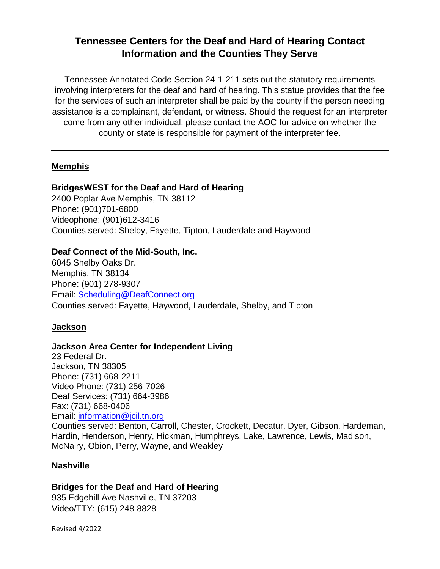# **Tennessee Centers for the Deaf and Hard of Hearing Contact Information and the Counties They Serve**

Tennessee Annotated Code Section 24-1-211 sets out the statutory requirements involving interpreters for the deaf and hard of hearing. This statue provides that the fee for the services of such an interpreter shall be paid by the county if the person needing assistance is a complainant, defendant, or witness. Should the request for an interpreter come from any other individual, please contact the AOC for advice on whether the county or state is responsible for payment of the interpreter fee.

### **Memphis**

### **BridgesWEST for the Deaf and Hard of Hearing**

2400 Poplar Ave Memphis, TN 38112 Phone: (901)701-6800 Videophone: (901)612-3416 Counties served: Shelby, Fayette, Tipton, Lauderdale and Haywood

### **Deaf Connect of the Mid-South, Inc.**

6045 Shelby Oaks Dr. Memphis, TN 38134 Phone: (901) 278-9307 Email: [Scheduling@DeafConnect.org](mailto:Scheduling@DeafConnect.org) Counties served: Fayette, Haywood, Lauderdale, Shelby, and Tipton

## **Jackson**

## **Jackson Area Center for Independent Living**

23 Federal Dr. Jackson, TN 38305 Phone: (731) 668-2211 Video Phone: (731) 256-7026 Deaf Services: (731) 664-3986 Fax: (731) 668-0406 Email: [information@jcil.tn.org](mailto:information@jcil.tn.org)

Counties served: Benton, Carroll, Chester, Crockett, Decatur, Dyer, Gibson, Hardeman, Hardin, Henderson, Henry, Hickman, Humphreys, Lake, Lawrence, Lewis, Madison, McNairy, Obion, Perry, Wayne, and Weakley

### **Nashville**

# **Bridges for the Deaf and Hard of Hearing**

935 Edgehill Ave Nashville, TN 37203 Video/TTY: (615) 248-8828

Revised 4/2022